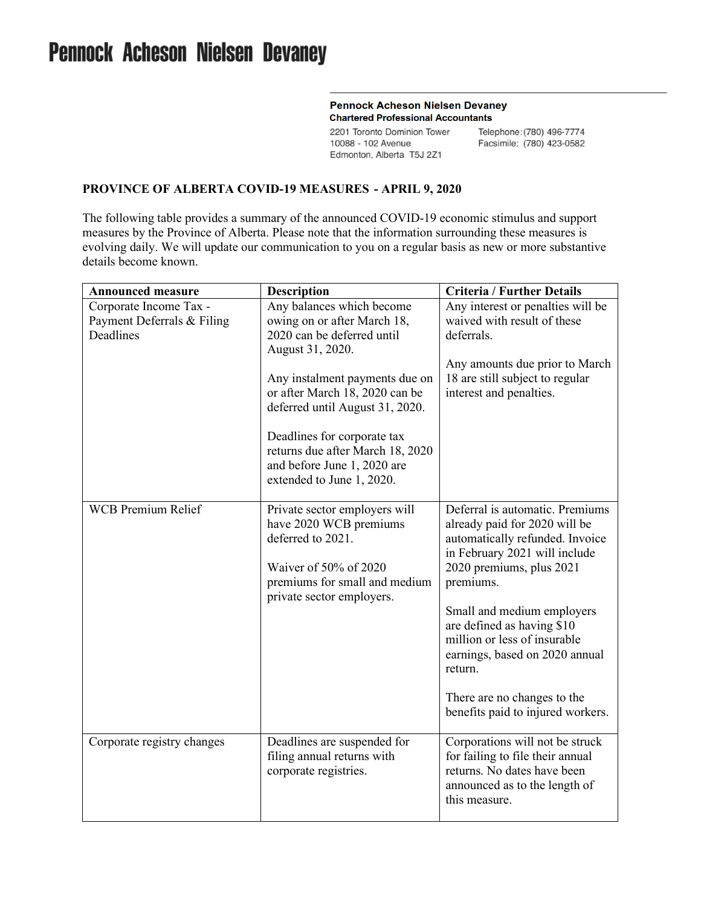## **Pennock Acheson Nielsen Devaney Chartered Professional Accountants**

2201 Toronto Dominion Tower 10088 - 102 Avenue Edmonton, Alberta T5J 2Z1

Telephone: (780) 496-7774 Facsimile: (780) 423-0582

## **PROVINCE OF ALBERTA COVID-19 MEASURES - APRIL 9, 2020**

The following table provides a summary of the announced COVID-19 economic stimulus and support measures by the Province of Alberta. Please note that the information surrounding these measures is evolving daily. We will update our communication to you on a regular basis as new or more substantive details become known.

| <b>Announced measure</b>                                          | <b>Description</b>                                                                                                                                                  | <b>Criteria / Further Details</b>                                                                                                                                                                                                                                                                                      |
|-------------------------------------------------------------------|---------------------------------------------------------------------------------------------------------------------------------------------------------------------|------------------------------------------------------------------------------------------------------------------------------------------------------------------------------------------------------------------------------------------------------------------------------------------------------------------------|
| Corporate Income Tax -<br>Payment Deferrals & Filing<br>Deadlines | Any balances which become<br>owing on or after March 18,<br>2020 can be deferred until<br>August 31, 2020.                                                          | Any interest or penalties will be<br>waived with result of these<br>deferrals.                                                                                                                                                                                                                                         |
|                                                                   | Any instalment payments due on<br>or after March 18, 2020 can be<br>deferred until August 31, 2020.                                                                 | Any amounts due prior to March<br>18 are still subject to regular<br>interest and penalties.                                                                                                                                                                                                                           |
|                                                                   | Deadlines for corporate tax<br>returns due after March 18, 2020<br>and before June 1, 2020 are<br>extended to June 1, 2020.                                         |                                                                                                                                                                                                                                                                                                                        |
| <b>WCB Premium Relief</b>                                         | Private sector employers will<br>have 2020 WCB premiums<br>deferred to 2021.<br>Waiver of 50% of 2020<br>premiums for small and medium<br>private sector employers. | Deferral is automatic. Premiums<br>already paid for 2020 will be<br>automatically refunded. Invoice<br>in February 2021 will include<br>2020 premiums, plus 2021<br>premiums.<br>Small and medium employers<br>are defined as having \$10<br>million or less of insurable<br>earnings, based on 2020 annual<br>return. |
|                                                                   |                                                                                                                                                                     | There are no changes to the<br>benefits paid to injured workers.                                                                                                                                                                                                                                                       |
| Corporate registry changes                                        | Deadlines are suspended for<br>filing annual returns with<br>corporate registries.                                                                                  | Corporations will not be struck<br>for failing to file their annual<br>returns. No dates have been<br>announced as to the length of<br>this measure.                                                                                                                                                                   |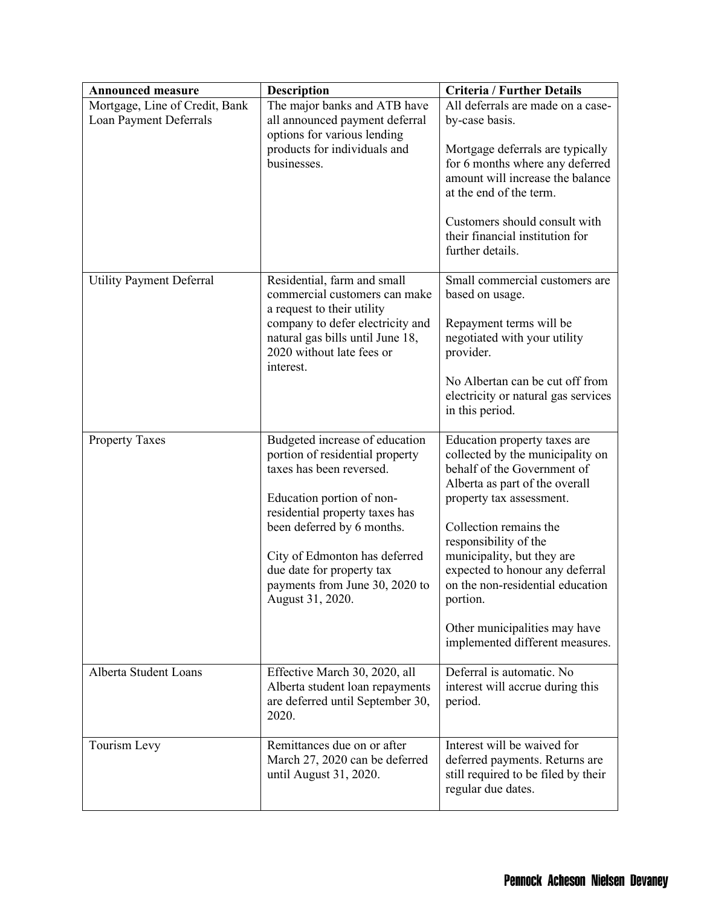| <b>Announced measure</b>                                 | <b>Description</b>                                                                                                                                                                                                                                                                                             | <b>Criteria / Further Details</b>                                                                                                                                                                                                                                                                                                                                                                     |
|----------------------------------------------------------|----------------------------------------------------------------------------------------------------------------------------------------------------------------------------------------------------------------------------------------------------------------------------------------------------------------|-------------------------------------------------------------------------------------------------------------------------------------------------------------------------------------------------------------------------------------------------------------------------------------------------------------------------------------------------------------------------------------------------------|
| Mortgage, Line of Credit, Bank<br>Loan Payment Deferrals | The major banks and ATB have<br>all announced payment deferral<br>options for various lending<br>products for individuals and<br>businesses.                                                                                                                                                                   | All deferrals are made on a case-<br>by-case basis.<br>Mortgage deferrals are typically<br>for 6 months where any deferred<br>amount will increase the balance<br>at the end of the term.<br>Customers should consult with<br>their financial institution for<br>further details.                                                                                                                     |
| <b>Utility Payment Deferral</b>                          | Residential, farm and small<br>commercial customers can make<br>a request to their utility<br>company to defer electricity and<br>natural gas bills until June 18,<br>2020 without late fees or<br>interest.                                                                                                   | Small commercial customers are<br>based on usage.<br>Repayment terms will be<br>negotiated with your utility<br>provider.<br>No Albertan can be cut off from<br>electricity or natural gas services<br>in this period.                                                                                                                                                                                |
| <b>Property Taxes</b>                                    | Budgeted increase of education<br>portion of residential property<br>taxes has been reversed.<br>Education portion of non-<br>residential property taxes has<br>been deferred by 6 months.<br>City of Edmonton has deferred<br>due date for property tax<br>payments from June 30, 2020 to<br>August 31, 2020. | Education property taxes are<br>collected by the municipality on<br>behalf of the Government of<br>Alberta as part of the overall<br>property tax assessment.<br>Collection remains the<br>responsibility of the<br>municipality, but they are<br>expected to honour any deferral<br>on the non-residential education<br>portion.<br>Other municipalities may have<br>implemented different measures. |
| Alberta Student Loans                                    | Effective March 30, 2020, all<br>Alberta student loan repayments<br>are deferred until September 30,<br>2020.                                                                                                                                                                                                  | Deferral is automatic. No<br>interest will accrue during this<br>period.                                                                                                                                                                                                                                                                                                                              |
| Tourism Levy                                             | Remittances due on or after<br>March 27, 2020 can be deferred<br>until August 31, 2020.                                                                                                                                                                                                                        | Interest will be waived for<br>deferred payments. Returns are<br>still required to be filed by their<br>regular due dates.                                                                                                                                                                                                                                                                            |